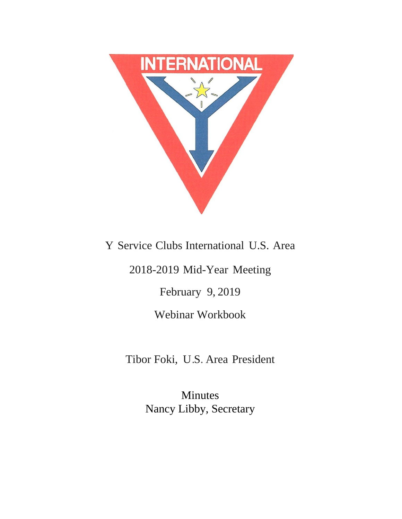

Y Service Clubs International U.S. Area

2018-2019 Mid-Year Meeting

February 9, 2019

Webinar Workbook

Tibor Foki, U.S. Area President

Minutes Nancy Libby, Secretary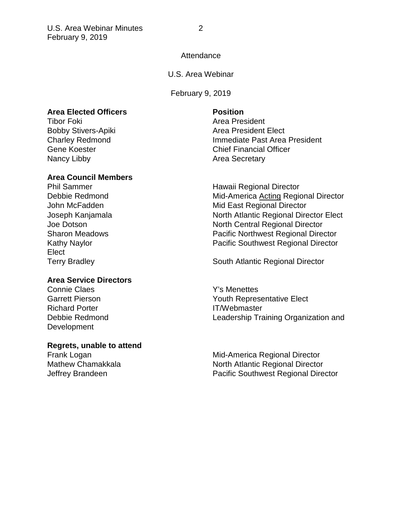## Attendance

### U.S. Area Webinar

February 9, 2019

### **Area Elected Officers Position**

Tibor Foki **Area President** Nancy Libby **Area Secretary** 

## **Area Council Members**

Elect

### **Area Service Directors**

Connie Claes **Y's Menettes** Richard Porter **IT/Webmaster** Development

## **Regrets, unable to attend**

Bobby Stivers-Apiki **Area President Elect** Area President Elect Charley Redmond<br>
Gene Koester 
Gene Koester

Chief Financial Officer Chief Financial Officer

Phil Sammer **Hawaii Regional Director** Debbie Redmond Mid-America Acting Regional Director John McFadden Mid East Regional Director Joseph Kanjamala North Atlantic Regional Director Elect Joe Dotson North Central Regional Director Sharon Meadows Pacific Northwest Regional Director Kathy Naylor **National Southwest Regional Director** Pacific Southwest Regional Director

Terry Bradley **South Atlantic Regional Director** 

Garrett Pierson **Garrett Pierson We are all the Vouth Representative Elect** and Table Debbie Redmond Leadership Training Organization and

Frank Logan **Frank Logan Mid-America Regional Director** Mathew Chamakkala North Atlantic Regional Director Jeffrey Brandeen Pacific Southwest Regional Director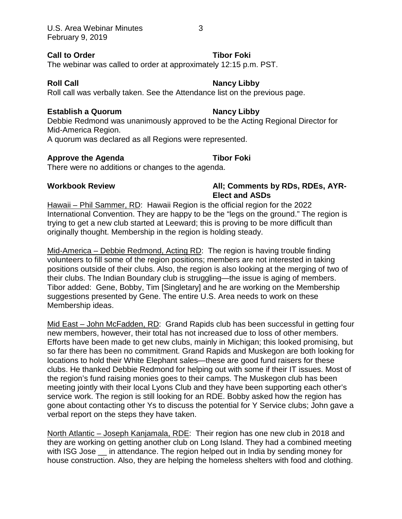### **Call to Order Tibor Foki**

The webinar was called to order at approximately 12:15 p.m. PST.

# **Roll Call Nancy Libby**

Roll call was verbally taken. See the Attendance list on the previous page.

## **Establish a Quorum Nancy Libby**

Debbie Redmond was unanimously approved to be the Acting Regional Director for Mid-America Region.

A quorum was declared as all Regions were represented.

## **Approve the Agenda Tibor Foki**

There were no additions or changes to the agenda.

# **Workbook Review All; Comments by RDs, RDEs, AYR-Elect and ASDs**

Hawaii – Phil Sammer, RD: Hawaii Region is the official region for the 2022 International Convention. They are happy to be the "legs on the ground." The region is trying to get a new club started at Leeward; this is proving to be more difficult than originally thought. Membership in the region is holding steady.

Mid-America – Debbie Redmond, Acting RD: The region is having trouble finding volunteers to fill some of the region positions; members are not interested in taking positions outside of their clubs. Also, the region is also looking at the merging of two of their clubs. The Indian Boundary club is struggling—the issue is aging of members. Tibor added: Gene, Bobby, Tim [Singletary] and he are working on the Membership suggestions presented by Gene. The entire U.S. Area needs to work on these Membership ideas.

Mid East – John McFadden, RD: Grand Rapids club has been successful in getting four new members, however, their total has not increased due to loss of other members. Efforts have been made to get new clubs, mainly in Michigan; this looked promising, but so far there has been no commitment. Grand Rapids and Muskegon are both looking for locations to hold their White Elephant sales—these are good fund raisers for these clubs. He thanked Debbie Redmond for helping out with some if their IT issues. Most of the region's fund raising monies goes to their camps. The Muskegon club has been meeting jointly with their local Lyons Club and they have been supporting each other's service work. The region is still looking for an RDE. Bobby asked how the region has gone about contacting other Ys to discuss the potential for Y Service clubs; John gave a verbal report on the steps they have taken.

North Atlantic – Joseph Kanjamala, RDE: Their region has one new club in 2018 and they are working on getting another club on Long Island. They had a combined meeting with ISG Jose in attendance. The region helped out in India by sending money for house construction. Also, they are helping the homeless shelters with food and clothing.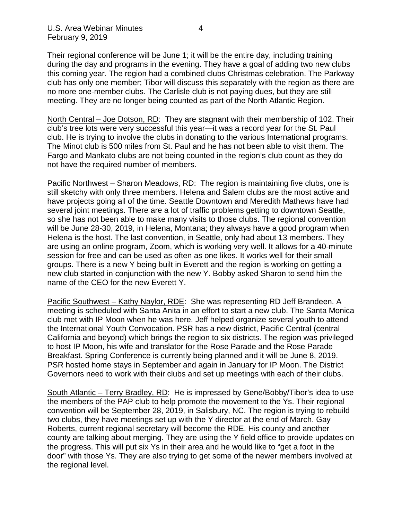Their regional conference will be June 1; it will be the entire day, including training during the day and programs in the evening. They have a goal of adding two new clubs this coming year. The region had a combined clubs Christmas celebration. The Parkway club has only one member; Tibor will discuss this separately with the region as there are no more one-member clubs. The Carlisle club is not paying dues, but they are still meeting. They are no longer being counted as part of the North Atlantic Region.

North Central – Joe Dotson, RD: They are stagnant with their membership of 102. Their club's tree lots were very successful this year—it was a record year for the St. Paul club. He is trying to involve the clubs in donating to the various International programs. The Minot club is 500 miles from St. Paul and he has not been able to visit them. The Fargo and Mankato clubs are not being counted in the region's club count as they do not have the required number of members.

Pacific Northwest – Sharon Meadows, RD: The region is maintaining five clubs, one is still sketchy with only three members. Helena and Salem clubs are the most active and have projects going all of the time. Seattle Downtown and Meredith Mathews have had several joint meetings. There are a lot of traffic problems getting to downtown Seattle, so she has not been able to make many visits to those clubs. The regional convention will be June 28-30, 2019, in Helena, Montana; they always have a good program when Helena is the host. The last convention, in Seattle, only had about 13 members. They are using an online program, Zoom, which is working very well. It allows for a 40-minute session for free and can be used as often as one likes. It works well for their small groups. There is a new Y being built in Everett and the region is working on getting a new club started in conjunction with the new Y. Bobby asked Sharon to send him the name of the CEO for the new Everett Y.

Pacific Southwest – Kathy Naylor, RDE: She was representing RD Jeff Brandeen. A meeting is scheduled with Santa Anita in an effort to start a new club. The Santa Monica club met with IP Moon when he was here. Jeff helped organize several youth to attend the International Youth Convocation. PSR has a new district, Pacific Central (central California and beyond) which brings the region to six districts. The region was privileged to host IP Moon, his wife and translator for the Rose Parade and the Rose Parade Breakfast. Spring Conference is currently being planned and it will be June 8, 2019. PSR hosted home stays in September and again in January for IP Moon. The District Governors need to work with their clubs and set up meetings with each of their clubs.

South Atlantic – Terry Bradley, RD: He is impressed by Gene/Bobby/Tibor's idea to use the members of the PAP club to help promote the movement to the Ys. Their regional convention will be September 28, 2019, in Salisbury, NC. The region is trying to rebuild two clubs, they have meetings set up with the Y director at the end of March. Gay Roberts, current regional secretary will become the RDE. His county and another county are talking about merging. They are using the Y field office to provide updates on the progress. This will put six Ys in their area and he would like to "get a foot in the door" with those Ys. They are also trying to get some of the newer members involved at the regional level.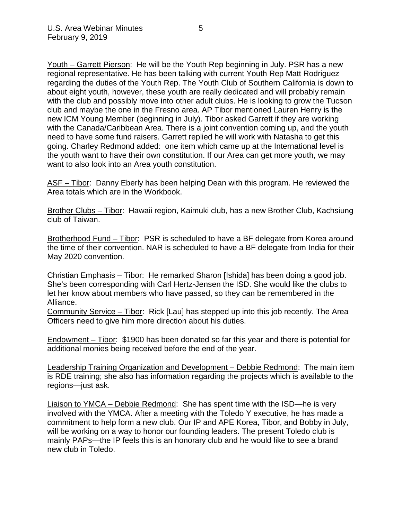Youth – Garrett Pierson: He will be the Youth Rep beginning in July. PSR has a new regional representative. He has been talking with current Youth Rep Matt Rodriguez regarding the duties of the Youth Rep. The Youth Club of Southern California is down to about eight youth, however, these youth are really dedicated and will probably remain with the club and possibly move into other adult clubs. He is looking to grow the Tucson club and maybe the one in the Fresno area. AP Tibor mentioned Lauren Henry is the new ICM Young Member (beginning in July). Tibor asked Garrett if they are working with the Canada/Caribbean Area. There is a joint convention coming up, and the youth need to have some fund raisers. Garrett replied he will work with Natasha to get this going. Charley Redmond added: one item which came up at the International level is the youth want to have their own constitution. If our Area can get more youth, we may want to also look into an Area youth constitution.

ASF – Tibor: Danny Eberly has been helping Dean with this program. He reviewed the Area totals which are in the Workbook.

Brother Clubs – Tibor: Hawaii region, Kaimuki club, has a new Brother Club, Kachsiung club of Taiwan.

Brotherhood Fund – Tibor: PSR is scheduled to have a BF delegate from Korea around the time of their convention. NAR is scheduled to have a BF delegate from India for their May 2020 convention.

Christian Emphasis – Tibor: He remarked Sharon [Ishida] has been doing a good job. She's been corresponding with Carl Hertz-Jensen the ISD. She would like the clubs to let her know about members who have passed, so they can be remembered in the Alliance.

Community Service – Tibor: Rick [Lau] has stepped up into this job recently. The Area Officers need to give him more direction about his duties.

Endowment – Tibor: \$1900 has been donated so far this year and there is potential for additional monies being received before the end of the year.

Leadership Training Organization and Development – Debbie Redmond: The main item is RDE training; she also has information regarding the projects which is available to the regions—just ask.

Liaison to YMCA – Debbie Redmond: She has spent time with the ISD—he is very involved with the YMCA. After a meeting with the Toledo Y executive, he has made a commitment to help form a new club. Our IP and APE Korea, Tibor, and Bobby in July, will be working on a way to honor our founding leaders. The present Toledo club is mainly PAPs—the IP feels this is an honorary club and he would like to see a brand new club in Toledo.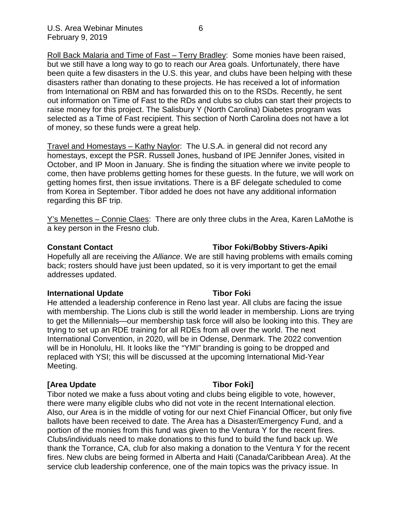Roll Back Malaria and Time of Fast – Terry Bradley: Some monies have been raised, but we still have a long way to go to reach our Area goals. Unfortunately, there have been quite a few disasters in the U.S. this year, and clubs have been helping with these disasters rather than donating to these projects. He has received a lot of information from International on RBM and has forwarded this on to the RSDs. Recently, he sent out information on Time of Fast to the RDs and clubs so clubs can start their projects to raise money for this project. The Salisbury Y (North Carolina) Diabetes program was selected as a Time of Fast recipient. This section of North Carolina does not have a lot of money, so these funds were a great help.

Travel and Homestays – Kathy Naylor: The U.S.A. in general did not record any homestays, except the PSR. Russell Jones, husband of IPE Jennifer Jones, visited in October, and IP Moon in January. She is finding the situation where we invite people to come, then have problems getting homes for these guests. In the future, we will work on getting homes first, then issue invitations. There is a BF delegate scheduled to come from Korea in September. Tibor added he does not have any additional information regarding this BF trip.

Y's Menettes – Connie Claes: There are only three clubs in the Area, Karen LaMothe is a key person in the Fresno club.

## **Constant Contact Tibor Foki/Bobby Stivers-Apiki**

Hopefully all are receiving the *Alliance*. We are still having problems with emails coming back; rosters should have just been updated, so it is very important to get the email addresses updated.

# **International Update Tibor Foki**

He attended a leadership conference in Reno last year. All clubs are facing the issue with membership. The Lions club is still the world leader in membership. Lions are trying to get the Millennials—our membership task force will also be looking into this. They are trying to set up an RDE training for all RDEs from all over the world. The next International Convention, in 2020, will be in Odense, Denmark. The 2022 convention will be in Honolulu, HI. It looks like the "YMI" branding is going to be dropped and replaced with YSI; this will be discussed at the upcoming International Mid-Year Meeting.

# **[Area Update Tibor Foki]**

Tibor noted we make a fuss about voting and clubs being eligible to vote, however, there were many eligible clubs who did not vote in the recent International election. Also, our Area is in the middle of voting for our next Chief Financial Officer, but only five ballots have been received to date. The Area has a Disaster/Emergency Fund, and a portion of the monies from this fund was given to the Ventura Y for the recent fires. Clubs/individuals need to make donations to this fund to build the fund back up. We thank the Torrance, CA, club for also making a donation to the Ventura Y for the recent fires. New clubs are being formed in Alberta and Haiti (Canada/Caribbean Area). At the service club leadership conference, one of the main topics was the privacy issue. In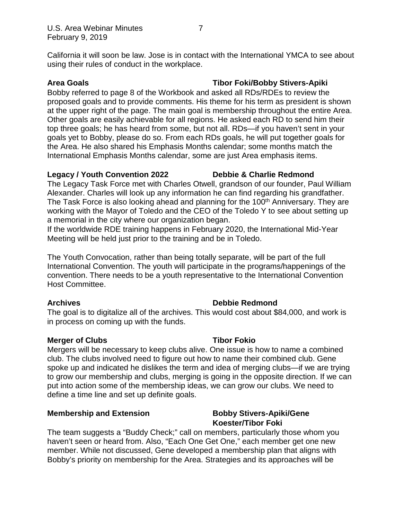California it will soon be law. Jose is in contact with the International YMCA to see about using their rules of conduct in the workplace.

# **Area Goals Tibor Foki/Bobby Stivers-Apiki**

Bobby referred to page 8 of the Workbook and asked all RDs/RDEs to review the proposed goals and to provide comments. His theme for his term as president is shown at the upper right of the page. The main goal is membership throughout the entire Area. Other goals are easily achievable for all regions. He asked each RD to send him their top three goals; he has heard from some, but not all. RDs—if you haven't sent in your goals yet to Bobby, please do so. From each RDs goals, he will put together goals for the Area. He also shared his Emphasis Months calendar; some months match the International Emphasis Months calendar, some are just Area emphasis items.

## **Legacy / Youth Convention 2022 Debbie & Charlie Redmond**

The Legacy Task Force met with Charles Otwell, grandson of our founder, Paul William Alexander. Charles will look up any information he can find regarding his grandfather. The Task Force is also looking ahead and planning for the 100<sup>th</sup> Anniversary. They are working with the Mayor of Toledo and the CEO of the Toledo Y to see about setting up a memorial in the city where our organization began.

If the worldwide RDE training happens in February 2020, the International Mid-Year Meeting will be held just prior to the training and be in Toledo.

The Youth Convocation, rather than being totally separate, will be part of the full International Convention. The youth will participate in the programs/happenings of the convention. There needs to be a youth representative to the International Convention Host Committee.

# **Archives Debbie Redmond**

**Koester/Tibor Foki**

The goal is to digitalize all of the archives. This would cost about \$84,000, and work is in process on coming up with the funds.

# **Merger of Clubs Tibor Fokio**

Mergers will be necessary to keep clubs alive. One issue is how to name a combined club. The clubs involved need to figure out how to name their combined club. Gene spoke up and indicated he dislikes the term and idea of merging clubs—if we are trying to grow our membership and clubs, merging is going in the opposite direction. If we can put into action some of the membership ideas, we can grow our clubs. We need to define a time line and set up definite goals.

# **Membership and Extension Bobby Stivers-Apiki/Gene**

# The team suggests a "Buddy Check;" call on members, particularly those whom you haven't seen or heard from. Also, "Each One Get One," each member get one new member. While not discussed, Gene developed a membership plan that aligns with Bobby's priority on membership for the Area. Strategies and its approaches will be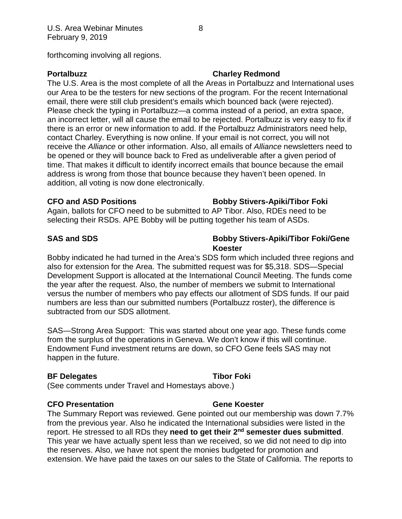forthcoming involving all regions.

## **Portalbuzz Charley Redmond**

The U.S. Area is the most complete of all the Areas in Portalbuzz and International uses our Area to be the testers for new sections of the program. For the recent International email, there were still club president's emails which bounced back (were rejected). Please check the typing in Portalbuzz—a comma instead of a period, an extra space, an incorrect letter, will all cause the email to be rejected. Portalbuzz is very easy to fix if there is an error or new information to add. If the Portalbuzz Administrators need help, contact Charley. Everything is now online. If your email is not correct, you will not receive the *Alliance* or other information. Also, all emails of *Alliance* newsletters need to be opened or they will bounce back to Fred as undeliverable after a given period of time. That makes it difficult to identify incorrect emails that bounce because the email address is wrong from those that bounce because they haven't been opened. In addition, all voting is now done electronically.

# **CFO and ASD Positions Bobby Stivers-Apiki/Tibor Foki**

Again, ballots for CFO need to be submitted to AP Tibor. Also, RDEs need to be selecting their RSDs. APE Bobby will be putting together his team of ASDs.

# **SAS and SDS Bobby Stivers-Apiki/Tibor Foki/Gene Koester**

Bobby indicated he had turned in the Area's SDS form which included three regions and also for extension for the Area. The submitted request was for \$5,318. SDS—Special Development Support is allocated at the International Council Meeting. The funds come the year after the request. Also, the number of members we submit to International versus the number of members who pay effects our allotment of SDS funds. If our paid numbers are less than our submitted numbers (Portalbuzz roster), the difference is subtracted from our SDS allotment.

SAS—Strong Area Support: This was started about one year ago. These funds come from the surplus of the operations in Geneva. We don't know if this will continue. Endowment Fund investment returns are down, so CFO Gene feels SAS may not happen in the future.

# **BF Delegates Tibor Foki**

(See comments under Travel and Homestays above.)

# **CFO Presentation Gene Koester**

## The Summary Report was reviewed. Gene pointed out our membership was down 7.7% from the previous year. Also he indicated the International subsidies were listed in the report. He stressed to all RDs they **need to get their 2nd semester dues submitted**. This year we have actually spent less than we received, so we did not need to dip into the reserves. Also, we have not spent the monies budgeted for promotion and extension. We have paid the taxes on our sales to the State of California. The reports to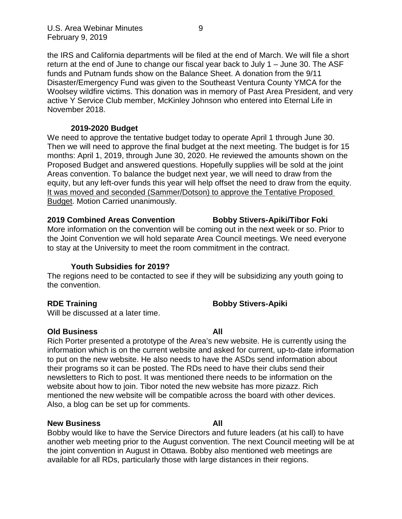the IRS and California departments will be filed at the end of March. We will file a short return at the end of June to change our fiscal year back to July 1 – June 30. The ASF funds and Putnam funds show on the Balance Sheet. A donation from the 9/11 Disaster/Emergency Fund was given to the Southeast Ventura County YMCA for the Woolsey wildfire victims. This donation was in memory of Past Area President, and very active Y Service Club member, McKinley Johnson who entered into Eternal Life in November 2018.

# **2019-2020 Budget**

We need to approve the tentative budget today to operate April 1 through June 30. Then we will need to approve the final budget at the next meeting. The budget is for 15 months: April 1, 2019, through June 30, 2020. He reviewed the amounts shown on the Proposed Budget and answered questions. Hopefully supplies will be sold at the joint Areas convention. To balance the budget next year, we will need to draw from the equity, but any left-over funds this year will help offset the need to draw from the equity. It was moved and seconded (Sammer/Dotson) to approve the Tentative Proposed **Budget. Motion Carried unanimously.** 

### **2019 Combined Areas Convention Bobby Stivers-Apiki/Tibor Foki**

More information on the convention will be coming out in the next week or so. Prior to the Joint Convention we will hold separate Area Council meetings. We need everyone to stay at the University to meet the room commitment in the contract.

# **Youth Subsidies for 2019?**

The regions need to be contacted to see if they will be subsidizing any youth going to the convention.

# **RDE Training Community Community Bobby Stivers-Apiki**

Will be discussed at a later time.

# **Old Business All**

Rich Porter presented a prototype of the Area's new website. He is currently using the information which is on the current website and asked for current, up-to-date information to put on the new website. He also needs to have the ASDs send information about their programs so it can be posted. The RDs need to have their clubs send their newsletters to Rich to post. It was mentioned there needs to be information on the website about how to join. Tibor noted the new website has more pizazz. Rich mentioned the new website will be compatible across the board with other devices. Also, a blog can be set up for comments.

# **New Business All**

Bobby would like to have the Service Directors and future leaders (at his call) to have another web meeting prior to the August convention. The next Council meeting will be at the joint convention in August in Ottawa. Bobby also mentioned web meetings are available for all RDs, particularly those with large distances in their regions.